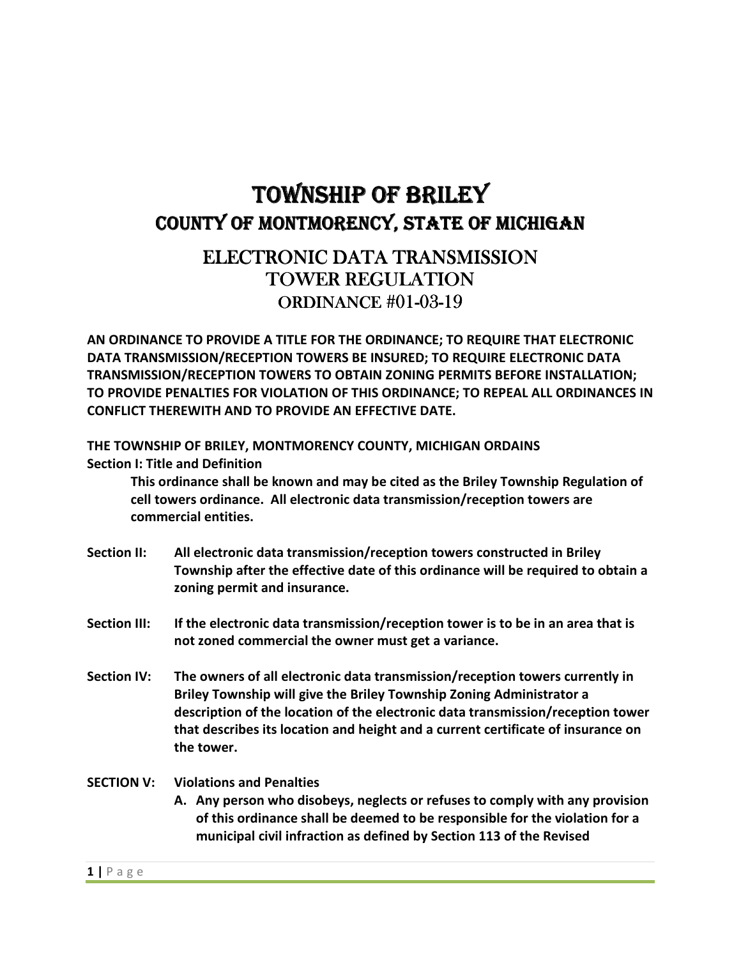# TOWNSHIP OF BRILEY COUNTY OF MONTMORENCY, STATE OF MICHIGAN

# ELECTRONIC DATA TRANSMISSION TOWER REGULATION ORDINANCE#01-03-19

**AN ORDINANCE TO PROVIDE A TITLE FOR THE ORDINANCE; TO REQUIRE THAT ELECTRONIC DATA TRANSMISSION/RECEPTION TOWERS BE INSURED; TO REQUIRE ELECTRONIC DATA TRANSMISSION/RECEPTION TOWERS TO OBTAIN ZONING PERMITS BEFORE INSTALLATION; TO PROVIDE PENALTIES FOR VIOLATION OF THIS ORDINANCE; TO REPEAL ALL ORDINANCES IN CONFLICT THEREWITH AND TO PROVIDE AN EFFECTIVE DATE.**

**THE TOWNSHIP OF BRILEY, MONTMORENCY COUNTY, MICHIGAN ORDAINS Section I: Title and Definition** 

**This ordinance shall be known and may be cited as the Briley Township Regulation of cell towers ordinance. All electronic data transmission/reception towers are commercial entities.** 

- **Section II: All electronic data transmission/reception towers constructed in Briley Township after the effective date of this ordinance will be required to obtain a zoning permit and insurance.**
- **Section III: If the electronic data transmission/reception tower is to be in an area that is not zoned commercial the owner must get a variance.**
- **Section IV: The owners of all electronic data transmission/reception towers currently in Briley Township will give the Briley Township Zoning Administrator a description of the location of the electronic data transmission/reception tower that describes its location and height and a current certificate of insurance on the tower.**

## **SECTION V: Violations and Penalties**

**A. Any person who disobeys, neglects or refuses to comply with any provision of this ordinance shall be deemed to be responsible for the violation for a municipal civil infraction as defined by Section 113 of the Revised**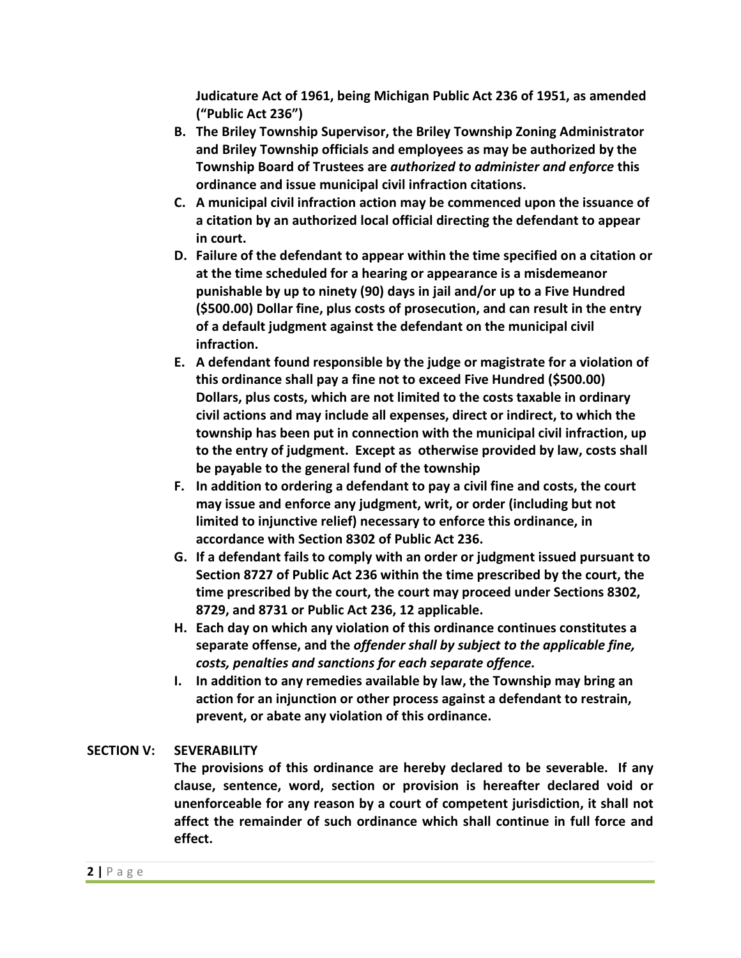**Judicature Act of 1961, being Michigan Public Act 236 of 1951, as amended ("Public Act 236")** 

- **B. The Briley Township Supervisor, the Briley Township Zoning Administrator and Briley Township officials and employees as may be authorized by the Township Board of Trustees are** *authorized to administer and enforce* **this ordinance and issue municipal civil infraction citations.**
- **C. A municipal civil infraction action may be commenced upon the issuance of a citation by an authorized local official directing the defendant to appear in court.**
- **D. Failure of the defendant to appear within the time specified on a citation or at the time scheduled for a hearing or appearance is a misdemeanor punishable by up to ninety (90) days in jail and/or up to a Five Hundred (\$500.00) Dollar fine, plus costs of prosecution, and can result in the entry of a default judgment against the defendant on the municipal civil infraction.**
- **E. A defendant found responsible by the judge or magistrate for a violation of this ordinance shall pay a fine not to exceed Five Hundred (\$500.00) Dollars, plus costs, which are not limited to the costs taxable in ordinary civil actions and may include all expenses, direct or indirect, to which the township has been put in connection with the municipal civil infraction, up to the entry of judgment. Except as otherwise provided by law, costs shall be payable to the general fund of the township**
- **F. In addition to ordering a defendant to pay a civil fine and costs, the court may issue and enforce any judgment, writ, or order (including but not limited to injunctive relief) necessary to enforce this ordinance, in accordance with Section 8302 of Public Act 236.**
- **G. If a defendant fails to comply with an order or judgment issued pursuant to Section 8727 of Public Act 236 within the time prescribed by the court, the time prescribed by the court, the court may proceed under Sections 8302, 8729, and 8731 or Public Act 236, 12 applicable.**
- **H. Each day on which any violation of this ordinance continues constitutes a separate offense, and the** *offender shall by subject to the applicable fine, costs, penalties and sanctions for each separate offence.*
- **I. In addition to any remedies available by law, the Township may bring an action for an injunction or other process against a defendant to restrain, prevent, or abate any violation of this ordinance.**

# **SECTION V: SEVERABILITY**

**The provisions of this ordinance are hereby declared to be severable. If any clause, sentence, word, section or provision is hereafter declared void or unenforceable for any reason by a court of competent jurisdiction, it shall not affect the remainder of such ordinance which shall continue in full force and effect.**